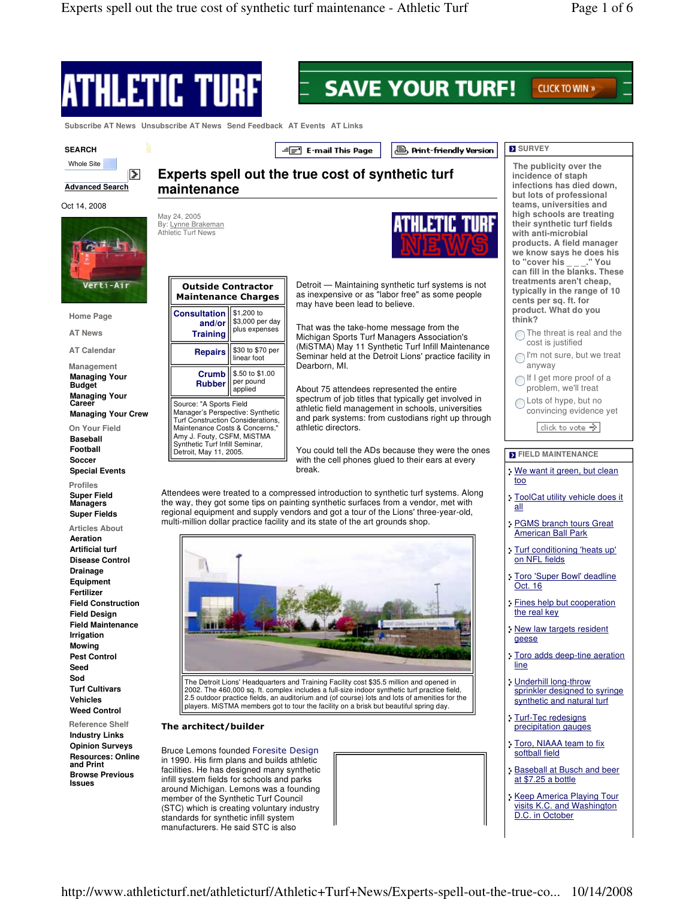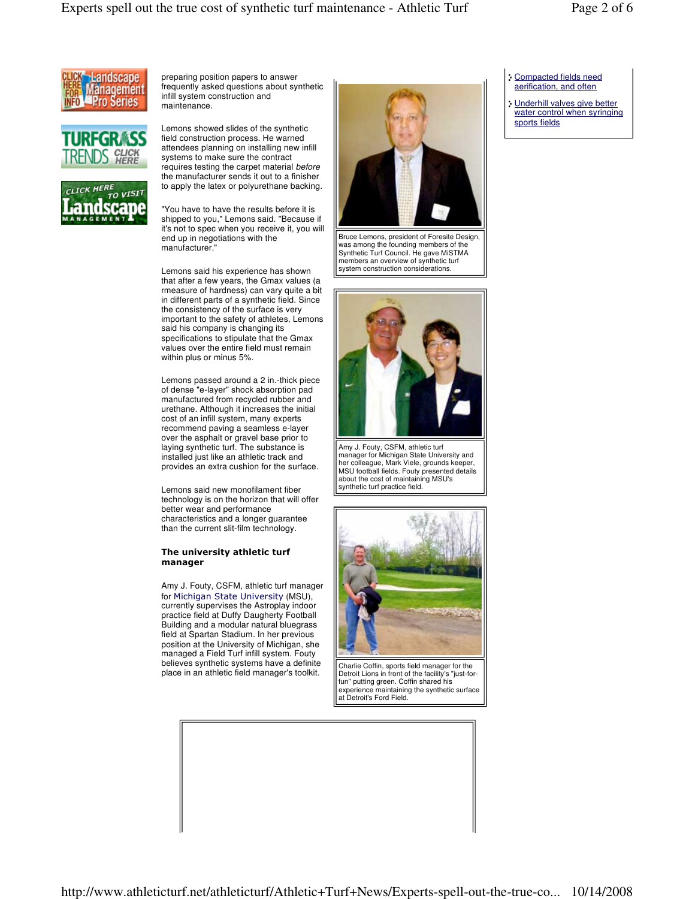

preparing position papers to answer frequently asked questions about synthetic infill system construction and maintenance.

Lemons showed slides of the synthetic







"You have to have the results before it is shipped to you," Lemons said. "Because if it's not to spec when you receive it, you will end up in negotiations with the manufacturer."

Lemons said his experience has shown that after a few years, the Gmax values (a rmeasure of hardness) can vary quite a bit in different parts of a synthetic field. Since the consistency of the surface is very important to the safety of athletes, Lemons said his company is changing its specifications to stipulate that the Gmax values over the entire field must remain within plus or minus 5%.

Lemons passed around a 2 in.-thick piece of dense "e-layer" shock absorption pad manufactured from recycled rubber and urethane. Although it increases the initial cost of an infill system, many experts recommend paving a seamless e-layer over the asphalt or gravel base prior to laying synthetic turf. The substance is installed just like an athletic track and provides an extra cushion for the surface.

Lemons said new monofilament fiber technology is on the horizon that will offer better wear and performance characteristics and a longer guarantee than the current slit-film technology.

## The university athletic turf manager

Amy J. Fouty, CSFM, athletic turf manager for Michigan State University (MSU), currently supervises the Astroplay indoor practice field at Duffy Daugherty Football Building and a modular natural bluegrass field at Spartan Stadium. In her previous position at the University of Michigan, she managed a Field Turf infill system. Fouty believes synthetic systems have a definite place in an athletic field manager's toolkit.



Bruce Lemons, president of Foresite Design, was among the founding members of the Synthetic Turf Council. He gave MiSTMA members an overview of synthetic turf system construction considerations.



Amy J. Fouty, CSFM, athletic turf manager for Michigan State University and her colleague, Mark Viele, grounds keeper, MSU football fields. Fouty presented details about the cost of maintaining MSU's synthetic turf practice field.



Charlie Coffin, sports field manager for the Detroit Lions in front of the facility's "just-forfun" putting green. Coffin shared his experience maintaining the synthetic surface at Detroit's Ford Field.

## Compacted fields need aerification, and often

Underhill valves give better water control when syringing sports fields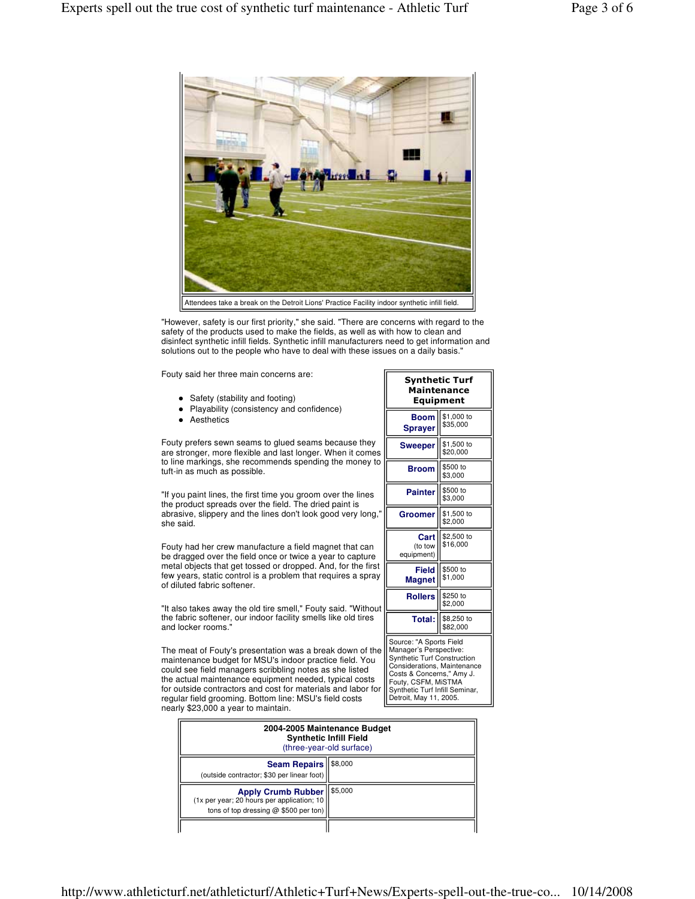

"However, safety is our first priority," she said. "There are concerns with regard to the safety of the products used to make the fields, as well as with how to clean and disinfect synthetic infill fields. Synthetic infill manufacturers need to get information and solutions out to the people who have to deal with these issues on a daily basis."

Fouty said her three main concerns are:

- Safety (stability and footing)
- Playability (consistency and confidence)
- **•** Aesthetics

Fouty prefers sewn seams to glued seams because they are stronger, more flexible and last longer. When it comes to line markings, she recommends spending the money to tuft-in as much as possible.

"If you paint lines, the first time you groom over the lines the product spreads over the field. The dried paint is abrasive, slippery and the lines don't look good very long," she said.

Fouty had her crew manufacture a field magnet that can be dragged over the field once or twice a year to capture metal objects that get tossed or dropped. And, for the first few years, static control is a problem that requires a spray of diluted fabric softener.

"It also takes away the old tire smell," Fouty said. "Without the fabric softener, our indoor facility smells like old tires and locker rooms."

The meat of Fouty's presentation was a break down of the maintenance budget for MSU's indoor practice field. You could see field managers scribbling notes as she listed the actual maintenance equipment needed, typical costs for outside contractors and cost for materials and labor for regular field grooming. Bottom line: MSU's field costs nearly \$23,000 a year to maintain.

| Synthetic Turf<br>Maintenance<br>Equipment                                                                                                                                                                                             |                        |  |
|----------------------------------------------------------------------------------------------------------------------------------------------------------------------------------------------------------------------------------------|------------------------|--|
| Boom<br>Sprayer                                                                                                                                                                                                                        | \$1,000 to<br>\$35,000 |  |
| <b>Sweeper</b>                                                                                                                                                                                                                         | \$1,500 to<br>\$20,000 |  |
| Broom                                                                                                                                                                                                                                  | \$500 to<br>\$3,000    |  |
| <b>Painter</b>                                                                                                                                                                                                                         | \$500 to<br>\$3,000    |  |
| Groomer                                                                                                                                                                                                                                | \$1,500 to<br>\$2,000  |  |
| Cart<br>(to tow<br>equipment)                                                                                                                                                                                                          | \$2,500 to<br>\$16,000 |  |
| <b>Field</b><br>Magnet                                                                                                                                                                                                                 | \$500 to<br>\$1,000    |  |
| <b>Rollers</b>                                                                                                                                                                                                                         | \$250 to<br>\$2,000    |  |
| Total:                                                                                                                                                                                                                                 | \$8,250 to<br>\$82,000 |  |
| Source: "A Sports Field<br>Manager's Perspective:<br><b>Synthetic Turf Construction</b><br>Considerations, Maintenance<br>Costs & Concerns," Amy J.<br>Fouty, CSFM, MiSTMA<br>Synthetic Turf Infill Seminar,<br>Detroit, May 11, 2005. |                        |  |

| 2004-2005 Maintenance Budget<br><b>Synthetic Infill Field</b><br>(three-year-old surface)                          |         |
|--------------------------------------------------------------------------------------------------------------------|---------|
| <b>Seam Repairs</b><br>(outside contractor; \$30 per linear foot)                                                  | \$8,000 |
| <b>Apply Crumb Rubber</b><br>(1x per year; 20 hours per application; 10<br>tons of top dressing $@$ \$500 per ton) | \$5,000 |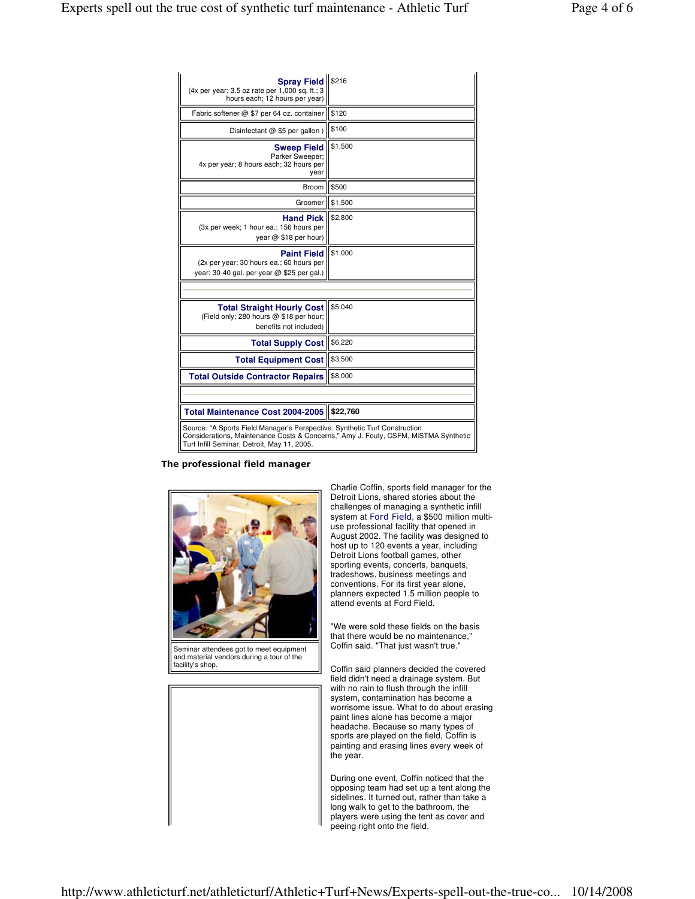| Spray Field   \$216<br>(4x per year; 3.5 oz rate per 1,000 sq. ft.; 3<br>hours each; 12 hours per year)                                                                                                          |          |  |
|------------------------------------------------------------------------------------------------------------------------------------------------------------------------------------------------------------------|----------|--|
| Fabric softener @ \$7 per 64 oz. container                                                                                                                                                                       | \$120    |  |
| Disinfectant @ \$5 per gallon)                                                                                                                                                                                   | \$100    |  |
| <b>Sweep Field</b><br>Parker Sweeper:<br>4x per year; 8 hours each; 32 hours per<br>year                                                                                                                         | \$1,500  |  |
| Broom                                                                                                                                                                                                            | \$500    |  |
| Groomer                                                                                                                                                                                                          | \$1,500  |  |
| <b>Hand Pick</b><br>(3x per week; 1 hour ea.; 156 hours per<br>year @ \$18 per hour)                                                                                                                             | \$2,800  |  |
| <b>Paint Field</b><br>(2x per year; 30 hours ea.; 60 hours per<br>year; 30-40 gal. per year @ \$25 per gal.)                                                                                                     | \$1,000  |  |
|                                                                                                                                                                                                                  |          |  |
| <b>Total Straight Hourly Cost</b><br>(Field only; 280 hours @ \$18 per hour;<br>benefits not included)                                                                                                           | \$5.040  |  |
| <b>Total Supply Cost</b>                                                                                                                                                                                         | \$6,220  |  |
| <b>Total Equipment Cost</b>                                                                                                                                                                                      | \$3,500  |  |
| <b>Total Outside Contractor Repairs</b>                                                                                                                                                                          | \$8,000  |  |
|                                                                                                                                                                                                                  |          |  |
| <b>Total Maintenance Cost 2004-2005</b>                                                                                                                                                                          | \$22,760 |  |
| Source: "A Sports Field Manager's Perspective: Synthetic Turf Construction<br>Considerations, Maintenance Costs & Concerns," Amy J. Fouty, CSFM, MiSTMA Synthetic<br>Turf Infill Seminar, Detroit, May 11, 2005. |          |  |

## The professional field manager



Seminar attendees got to meet equipment and material vendors during a tour of the facility's shop.

Charlie Coffin, sports field manager for the Detroit Lions, shared stories about the challenges of managing a synthetic infill system at Ford Field, a \$500 million multiuse professional facility that opened in August 2002. The facility was designed to host up to 120 events a year, including Detroit Lions football games, other sporting events, concerts, banquets, tradeshows, business meetings and conventions. For its first year alone, planners expected 1.5 million people to attend events at Ford Field.

"We were sold these fields on the basis that there would be no maintenance," Coffin said. "That just wasn't true."

Coffin said planners decided the covered field didn't need a drainage system. But with no rain to flush through the infill system, contamination has become a worrisome issue. What to do about erasing paint lines alone has become a major headache. Because so many types of sports are played on the field, Coffin is painting and erasing lines every week of the year.

During one event, Coffin noticed that the opposing team had set up a tent along the sidelines. It turned out, rather than take a long walk to get to the bathroom, the players were using the tent as cover and peeing right onto the field.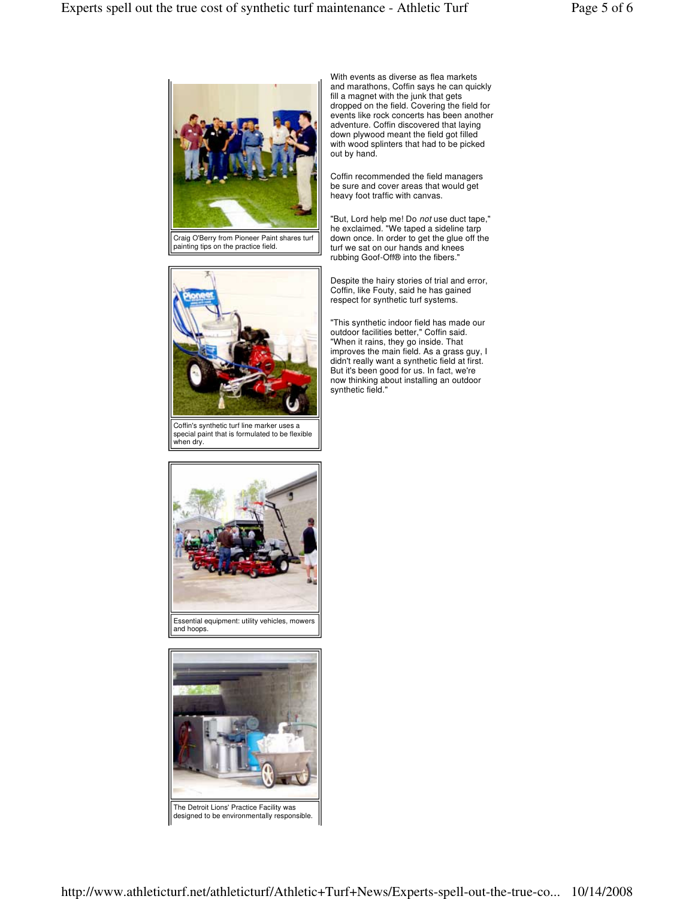

Craig O'Berry from Pioneer Paint shares turf painting tips on the practice field.



Coffin's synthetic turf line marker uses a special paint that is formulated to be flexible when dry.



Coffin recommended the field managers be sure and cover areas that would get heavy foot traffic with canvas.

"But, Lord help me! Do not use duct tape," he exclaimed. "We taped a sideline tarp down once. In order to get the glue off the turf we sat on our hands and knees rubbing Goof-Off® into the fibers."

Despite the hairy stories of trial and error, Coffin, like Fouty, said he has gained respect for synthetic turf systems.

"This synthetic indoor field has made our outdoor facilities better," Coffin said. "When it rains, they go inside. That improves the main field. As a grass guy, I didn't really want a synthetic field at first. But it's been good for us. In fact, we're now thinking about installing an outdoor synthetic field."





The Detroit Lions' Practice Facility was designed to be environmentally responsible.